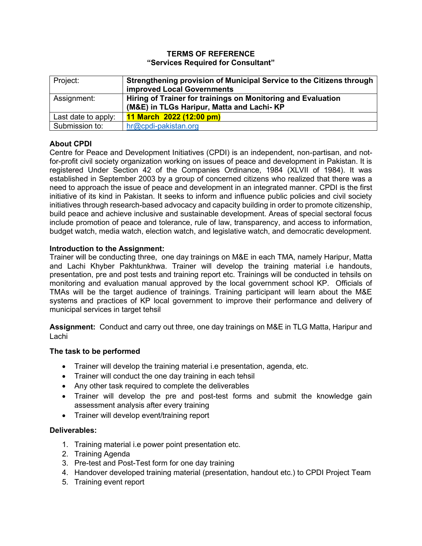### **TERMS OF REFERENCE "Services Required for Consultant"**

| Project:            | Strengthening provision of Municipal Service to the Citizens through<br><b>improved Local Governments</b> |
|---------------------|-----------------------------------------------------------------------------------------------------------|
| Assignment:         | Hiring of Trainer for trainings on Monitoring and Evaluation<br>(M&E) in TLGs Haripur, Matta and Lachi-KP |
| Last date to apply: | 11 March 2022 (12:00 pm)                                                                                  |
| Submission to:      | hr@cpdi-pakistan.org                                                                                      |

# **About CPDI**

Centre for Peace and Development Initiatives (CPDI) is an independent, non-partisan, and notfor-profit civil society organization working on issues of peace and development in Pakistan. It is registered Under Section 42 of the Companies Ordinance, 1984 (XLVII of 1984). It was established in September 2003 by a group of concerned citizens who realized that there was a need to approach the issue of peace and development in an integrated manner. CPDI is the first initiative of its kind in Pakistan. It seeks to inform and influence public policies and civil society initiatives through research-based advocacy and capacity building in order to promote citizenship, build peace and achieve inclusive and sustainable development. Areas of special sectoral focus include promotion of peace and tolerance, rule of law, transparency, and access to information, budget watch, media watch, election watch, and legislative watch, and democratic development.

## **Introduction to the Assignment:**

Trainer will be conducting three, one day trainings on M&E in each TMA, namely Haripur, Matta and Lachi Khyber Pakhtunkhwa. Trainer will develop the training material i.e handouts, presentation, pre and post tests and training report etc. Trainings will be conducted in tehsils on monitoring and evaluation manual approved by the local government school KP. Officials of TMAs will be the target audience of trainings. Training participant will learn about the M&E systems and practices of KP local government to improve their performance and delivery of municipal services in target tehsil

**Assignment:** Conduct and carry out three, one day trainings on M&E in TLG Matta, Haripur and Lachi

## **The task to be performed**

- Trainer will develop the training material i.e presentation, agenda, etc.
- Trainer will conduct the one day training in each tehsil
- Any other task required to complete the deliverables
- Trainer will develop the pre and post-test forms and submit the knowledge gain assessment analysis after every training
- Trainer will develop event/training report

#### **Deliverables:**

- 1. Training material i.e power point presentation etc.
- 2. Training Agenda
- 3. Pre-test and Post-Test form for one day training
- 4. Handover developed training material (presentation, handout etc.) to CPDI Project Team
- 5. Training event report